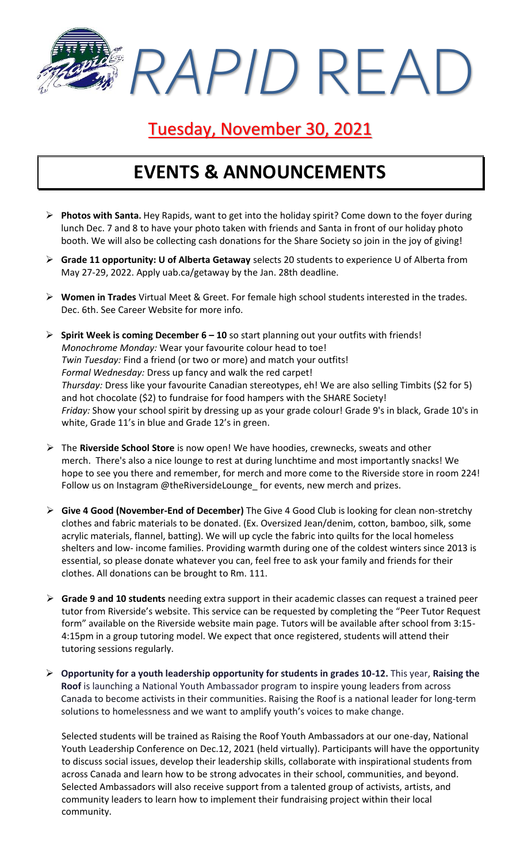*RAPID* READ

## Tuesday, November 30, 2021

### **EVENTS & ANNOUNCEMENTS**

- ➢ **Photos with Santa.** Hey Rapids, want to get into the holiday spirit? Come down to the foyer during lunch Dec. 7 and 8 to have your photo taken with friends and Santa in front of our holiday photo booth. We will also be collecting cash donations for the Share Society so join in the joy of giving!
- ➢ **Grade 11 opportunity: U of Alberta Getaway** selects 20 students to experience U of Alberta from May 27-29, 2022. Apply uab.ca/getaway by the Jan. 28th deadline.
- ➢ **Women in Trades** Virtual Meet & Greet. For female high school students interested in the trades. Dec. 6th. See Career Website for more info.
- ➢ **Spirit Week is coming December 6 – 10** so start planning out your outfits with friends! *Monochrome Monday:* Wear your favourite colour head to toe! *Twin Tuesday:* Find a friend (or two or more) and match your outfits! *Formal Wednesday:* Dress up fancy and walk the red carpet! *Thursday:* Dress like your favourite Canadian stereotypes, eh! We are also selling Timbits (\$2 for 5) and hot chocolate (\$2) to fundraise for food hampers with the SHARE Society! *Friday:* Show your school spirit by dressing up as your grade colour! Grade 9's in black, Grade 10's in white, Grade 11's in blue and Grade 12's in green.
- ➢ The **Riverside School Store** is now open! We have hoodies, crewnecks, sweats and other merch. There's also a nice lounge to rest at during lunchtime and most importantly snacks! We hope to see you there and remember, for merch and more come to the Riverside store in room 224! Follow us on Instagram @theRiversideLounge\_ for events, new merch and prizes.
- ➢ **Give 4 Good (November-End of December)** The Give 4 Good Club is looking for clean non-stretchy clothes and fabric materials to be donated. (Ex. Oversized Jean/denim, cotton, bamboo, silk, some acrylic materials, flannel, batting). We will up cycle the fabric into quilts for the local homeless shelters and low- income families. Providing warmth during one of the coldest winters since 2013 is essential, so please donate whatever you can, feel free to ask your family and friends for their clothes. All donations can be brought to Rm. 111.
- ➢ **Grade 9 and 10 students** needing extra support in their academic classes can request a trained peer tutor from Riverside's website. This service can be requested by completing the "Peer Tutor Request form" available on the Riverside website main page. Tutors will be available after school from 3:15- 4:15pm in a group tutoring model. We expect that once registered, students will attend their tutoring sessions regularly.
- ➢ **Opportunity for a youth leadership opportunity for students in grades 10-12.** This year, **Raising the Roof** is launching a National Youth Ambassador program to inspire young leaders from across Canada to become activists in their communities. Raising the Roof is a national leader for long-term solutions to homelessness and we want to amplify youth's voices to make change.

Selected students will be trained as Raising the Roof Youth Ambassadors at our one-day, National Youth Leadership Conference on Dec.12, 2021 (held virtually). Participants will have the opportunity to discuss social issues, develop their leadership skills, collaborate with inspirational students from across Canada and learn how to be strong advocates in their school, communities, and beyond. Selected Ambassadors will also receive support from a talented group of activists, artists, and community leaders to learn how to implement their fundraising project within their local community.